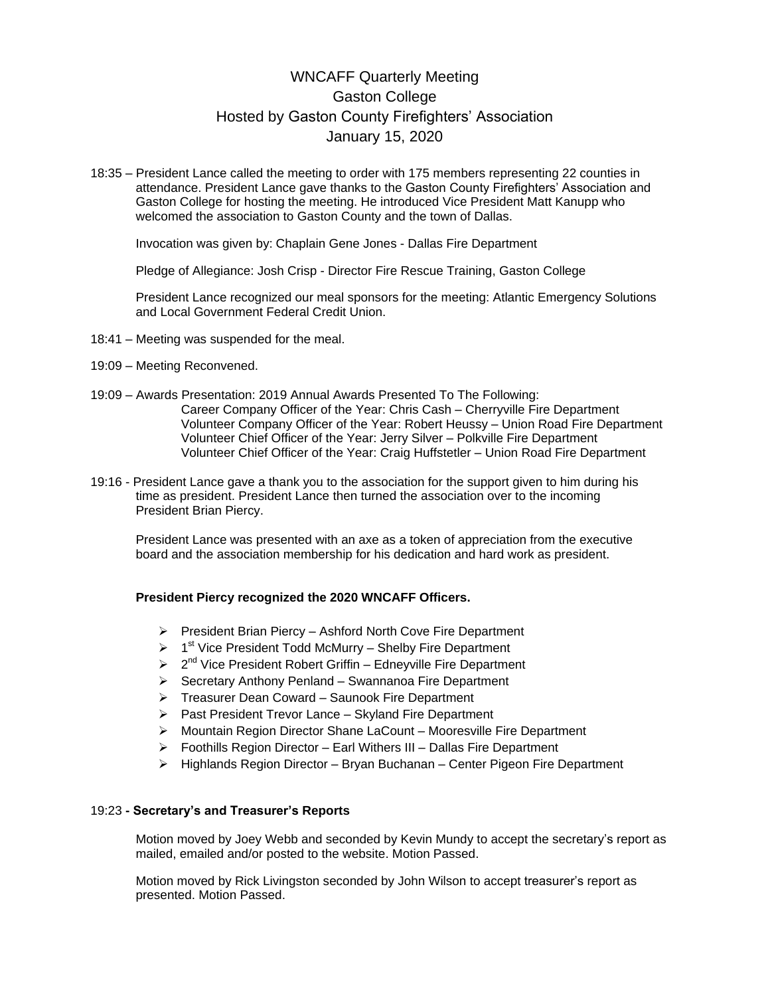# WNCAFF Quarterly Meeting Gaston College Hosted by Gaston County Firefighters' Association January 15, 2020

18:35 – President Lance called the meeting to order with 175 members representing 22 counties in attendance. President Lance gave thanks to the Gaston County Firefighters' Association and Gaston College for hosting the meeting. He introduced Vice President Matt Kanupp who welcomed the association to Gaston County and the town of Dallas.

Invocation was given by: Chaplain Gene Jones - Dallas Fire Department

Pledge of Allegiance: Josh Crisp - Director Fire Rescue Training, Gaston College

President Lance recognized our meal sponsors for the meeting: Atlantic Emergency Solutions and Local Government Federal Credit Union.

- 18:41 Meeting was suspended for the meal.
- 19:09 Meeting Reconvened.
- 19:09 Awards Presentation: 2019 Annual Awards Presented To The Following: Career Company Officer of the Year: Chris Cash – Cherryville Fire Department Volunteer Company Officer of the Year: Robert Heussy – Union Road Fire Department Volunteer Chief Officer of the Year: Jerry Silver – Polkville Fire Department Volunteer Chief Officer of the Year: Craig Huffstetler – Union Road Fire Department
- 19:16 President Lance gave a thank you to the association for the support given to him during his time as president. President Lance then turned the association over to the incoming President Brian Piercy.

President Lance was presented with an axe as a token of appreciation from the executive board and the association membership for his dedication and hard work as president.

#### **President Piercy recognized the 2020 WNCAFF Officers.**

- $\triangleright$  President Brian Piercy Ashford North Cove Fire Department
- $\triangleright$  1<sup>st</sup> Vice President Todd McMurry Shelby Fire Department
- $\geq 2^{nd}$  Vice President Robert Griffin Edneyville Fire Department
- $\triangleright$  Secretary Anthony Penland Swannanoa Fire Department
- Treasurer Dean Coward Saunook Fire Department
- $\triangleright$  Past President Trevor Lance Skyland Fire Department
- ▶ Mountain Region Director Shane LaCount Mooresville Fire Department
- $\triangleright$  Foothills Region Director Earl Withers III Dallas Fire Department
- $\triangleright$  Highlands Region Director Bryan Buchanan Center Pigeon Fire Department

#### 19:23 **- Secretary's and Treasurer's Reports**

Motion moved by Joey Webb and seconded by Kevin Mundy to accept the secretary's report as mailed, emailed and/or posted to the website. Motion Passed.

Motion moved by Rick Livingston seconded by John Wilson to accept treasurer's report as presented. Motion Passed.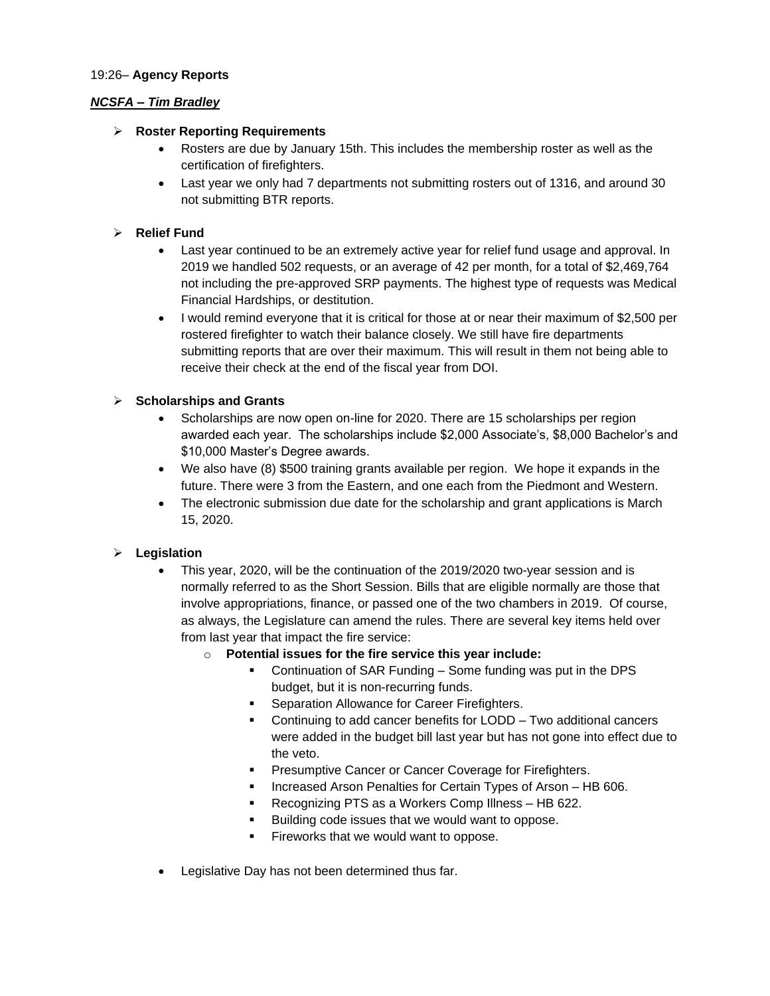#### 19:26– **Agency Reports**

### *NCSFA – Tim Bradley*

### **Roster Reporting Requirements**

- Rosters are due by January 15th. This includes the membership roster as well as the certification of firefighters.
- Last year we only had 7 departments not submitting rosters out of 1316, and around 30 not submitting BTR reports.

#### **Relief Fund**

- Last year continued to be an extremely active year for relief fund usage and approval. In 2019 we handled 502 requests, or an average of 42 per month, for a total of \$2,469,764 not including the pre-approved SRP payments. The highest type of requests was Medical Financial Hardships, or destitution.
- I would remind everyone that it is critical for those at or near their maximum of \$2,500 per rostered firefighter to watch their balance closely. We still have fire departments submitting reports that are over their maximum. This will result in them not being able to receive their check at the end of the fiscal year from DOI.

### **Scholarships and Grants**

- Scholarships are now open on-line for 2020. There are 15 scholarships per region awarded each year. The scholarships include \$2,000 Associate's, \$8,000 Bachelor's and \$10,000 Master's Degree awards.
- We also have (8) \$500 training grants available per region. We hope it expands in the future. There were 3 from the Eastern, and one each from the Piedmont and Western.
- The electronic submission due date for the scholarship and grant applications is March 15, 2020.

### **Legislation**

- This year, 2020, will be the continuation of the 2019/2020 two-year session and is normally referred to as the Short Session. Bills that are eligible normally are those that involve appropriations, finance, or passed one of the two chambers in 2019. Of course, as always, the Legislature can amend the rules. There are several key items held over from last year that impact the fire service:
	- o **Potential issues for the fire service this year include:**
		- Continuation of SAR Funding Some funding was put in the DPS budget, but it is non-recurring funds.
		- Separation Allowance for Career Firefighters.
		- **•** Continuing to add cancer benefits for LODD Two additional cancers were added in the budget bill last year but has not gone into effect due to the veto.
		- **Presumptive Cancer or Cancer Coverage for Firefighters.**
		- **Increased Arson Penalties for Certain Types of Arson HB 606.**
		- Recognizing PTS as a Workers Comp Illness HB 622.
		- **Building code issues that we would want to oppose.**
		- Fireworks that we would want to oppose.
- Legislative Day has not been determined thus far.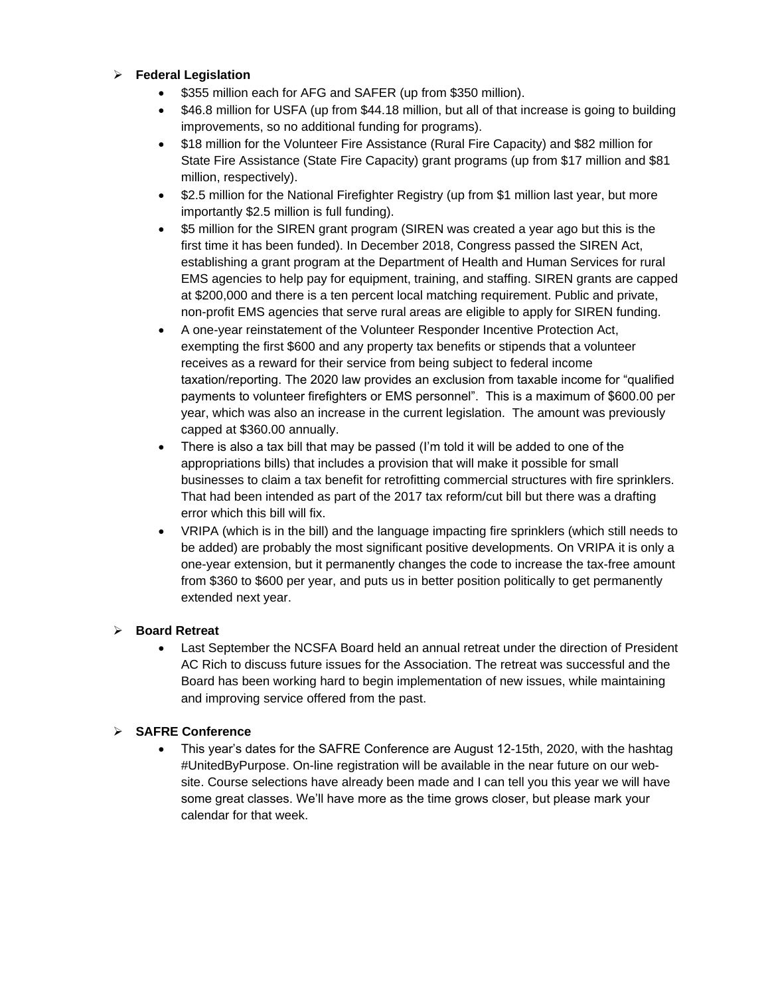### **Federal Legislation**

- \$355 million each for AFG and SAFER (up from \$350 million).
- \$46.8 million for USFA (up from \$44.18 million, but all of that increase is going to building improvements, so no additional funding for programs).
- \$18 million for the Volunteer Fire Assistance (Rural Fire Capacity) and \$82 million for State Fire Assistance (State Fire Capacity) grant programs (up from \$17 million and \$81 million, respectively).
- \$2.5 million for the National Firefighter Registry (up from \$1 million last year, but more importantly \$2.5 million is full funding).
- \$5 million for the SIREN grant program (SIREN was created a year ago but this is the first time it has been funded). In December 2018, Congress passed the SIREN Act, establishing a grant program at the Department of Health and Human Services for rural EMS agencies to help pay for equipment, training, and staffing. SIREN grants are capped at \$200,000 and there is a ten percent local matching requirement. Public and private, non-profit EMS agencies that serve rural areas are eligible to apply for SIREN funding.
- A one-year reinstatement of the Volunteer Responder Incentive Protection Act, exempting the first \$600 and any property tax benefits or stipends that a volunteer receives as a reward for their service from being subject to federal income taxation/reporting. The 2020 law provides an exclusion from taxable income for "qualified payments to volunteer firefighters or EMS personnel". This is a maximum of \$600.00 per year, which was also an increase in the current legislation. The amount was previously capped at \$360.00 annually.
- There is also a tax bill that may be passed (I'm told it will be added to one of the appropriations bills) that includes a provision that will make it possible for small businesses to claim a tax benefit for retrofitting commercial structures with fire sprinklers. That had been intended as part of the 2017 tax reform/cut bill but there was a drafting error which this bill will fix.
- VRIPA (which is in the bill) and the language impacting fire sprinklers (which still needs to be added) are probably the most significant positive developments. On VRIPA it is only a one-year extension, but it permanently changes the code to increase the tax-free amount from \$360 to \$600 per year, and puts us in better position politically to get permanently extended next year.

### **Board Retreat**

 Last September the NCSFA Board held an annual retreat under the direction of President AC Rich to discuss future issues for the Association. The retreat was successful and the Board has been working hard to begin implementation of new issues, while maintaining and improving service offered from the past.

### **SAFRE Conference**

 This year's dates for the SAFRE Conference are August 12-15th, 2020, with the hashtag #UnitedByPurpose. On-line registration will be available in the near future on our website. Course selections have already been made and I can tell you this year we will have some great classes. We'll have more as the time grows closer, but please mark your calendar for that week.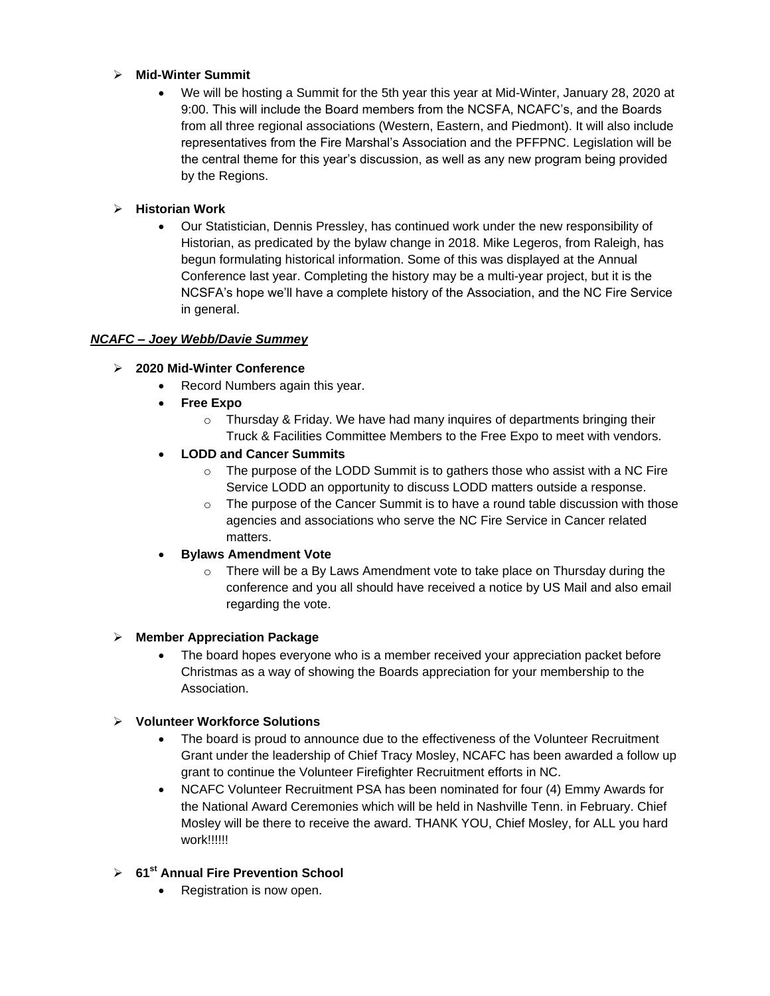### **Mid-Winter Summit**

 We will be hosting a Summit for the 5th year this year at Mid-Winter, January 28, 2020 at 9:00. This will include the Board members from the NCSFA, NCAFC's, and the Boards from all three regional associations (Western, Eastern, and Piedmont). It will also include representatives from the Fire Marshal's Association and the PFFPNC. Legislation will be the central theme for this year's discussion, as well as any new program being provided by the Regions.

### **Historian Work**

 Our Statistician, Dennis Pressley, has continued work under the new responsibility of Historian, as predicated by the bylaw change in 2018. Mike Legeros, from Raleigh, has begun formulating historical information. Some of this was displayed at the Annual Conference last year. Completing the history may be a multi-year project, but it is the NCSFA's hope we'll have a complete history of the Association, and the NC Fire Service in general.

# *NCAFC – Joey Webb/Davie Summey*

# **2020 Mid-Winter Conference**

- Record Numbers again this year.
- **Free Expo**
	- $\circ$  Thursday & Friday. We have had many inquires of departments bringing their Truck & Facilities Committee Members to the Free Expo to meet with vendors.

# **LODD and Cancer Summits**

- o The purpose of the LODD Summit is to gathers those who assist with a NC Fire Service LODD an opportunity to discuss LODD matters outside a response.
- $\circ$  The purpose of the Cancer Summit is to have a round table discussion with those agencies and associations who serve the NC Fire Service in Cancer related matters.

### **Bylaws Amendment Vote**

 $\circ$  There will be a By Laws Amendment vote to take place on Thursday during the conference and you all should have received a notice by US Mail and also email regarding the vote.

### **Member Appreciation Package**

 The board hopes everyone who is a member received your appreciation packet before Christmas as a way of showing the Boards appreciation for your membership to the **Association** 

### **Volunteer Workforce Solutions**

- The board is proud to announce due to the effectiveness of the Volunteer Recruitment Grant under the leadership of Chief Tracy Mosley, NCAFC has been awarded a follow up grant to continue the Volunteer Firefighter Recruitment efforts in NC.
- NCAFC Volunteer Recruitment PSA has been nominated for four (4) Emmy Awards for the National Award Ceremonies which will be held in Nashville Tenn. in February. Chief Mosley will be there to receive the award. THANK YOU, Chief Mosley, for ALL you hard work!!!!!!

### **61st Annual Fire Prevention School**

Registration is now open.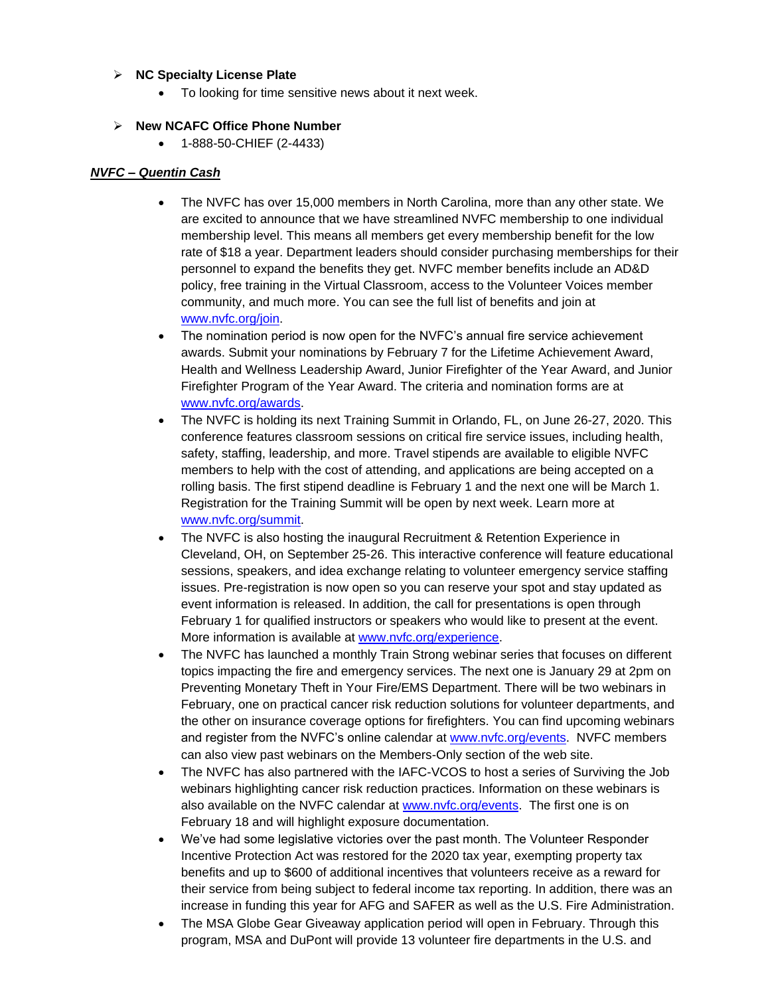#### **NC Specialty License Plate**

To looking for time sensitive news about it next week.

### **New NCAFC Office Phone Number**

1-888-50-CHIEF (2-4433)

### *NVFC – Quentin Cash*

- The NVFC has over 15,000 members in North Carolina, more than any other state. We are excited to announce that we have streamlined NVFC membership to one individual membership level. This means all members get every membership benefit for the low rate of \$18 a year. Department leaders should consider purchasing memberships for their personnel to expand the benefits they get. NVFC member benefits include an AD&D policy, free training in the Virtual Classroom, access to the Volunteer Voices member community, and much more. You can see the full list of benefits and join at [www.nvfc.org/join.](http://www.nvfc.org/join)
- The nomination period is now open for the NVFC's annual fire service achievement awards. Submit your nominations by February 7 for the Lifetime Achievement Award, Health and Wellness Leadership Award, Junior Firefighter of the Year Award, and Junior Firefighter Program of the Year Award. The criteria and nomination forms are at [www.nvfc.org/awards.](http://www.nvfc.org/awards)
- The NVFC is holding its next Training Summit in Orlando, FL, on June 26-27, 2020. This conference features classroom sessions on critical fire service issues, including health, safety, staffing, leadership, and more. Travel stipends are available to eligible NVFC members to help with the cost of attending, and applications are being accepted on a rolling basis. The first stipend deadline is February 1 and the next one will be March 1. Registration for the Training Summit will be open by next week. Learn more at [www.nvfc.org/summit.](http://www.nvfc.org/summit)
- The NVFC is also hosting the inaugural Recruitment & Retention Experience in Cleveland, OH, on September 25-26. This interactive conference will feature educational sessions, speakers, and idea exchange relating to volunteer emergency service staffing issues. Pre-registration is now open so you can reserve your spot and stay updated as event information is released. In addition, the call for presentations is open through February 1 for qualified instructors or speakers who would like to present at the event. More information is available at [www.nvfc.org/experience.](http://www.nvfc.org/experience)
- The NVFC has launched a monthly Train Strong webinar series that focuses on different topics impacting the fire and emergency services. The next one is January 29 at 2pm on Preventing Monetary Theft in Your Fire/EMS Department. There will be two webinars in February, one on practical cancer risk reduction solutions for volunteer departments, and the other on insurance coverage options for firefighters. You can find upcoming webinars and register from the NVFC's online calendar at [www.nvfc.org/events.](http://www.nvfc.org/events) NVFC members can also view past webinars on the Members-Only section of the web site.
- The NVFC has also partnered with the IAFC-VCOS to host a series of Surviving the Job webinars highlighting cancer risk reduction practices. Information on these webinars is also available on the NVFC calendar at [www.nvfc.org/events.](http://www.nvfc.org/events) The first one is on February 18 and will highlight exposure documentation.
- We've had some legislative victories over the past month. The Volunteer Responder Incentive Protection Act was restored for the 2020 tax year, exempting property tax benefits and up to \$600 of additional incentives that volunteers receive as a reward for their service from being subject to federal income tax reporting. In addition, there was an increase in funding this year for AFG and SAFER as well as the U.S. Fire Administration.
- The MSA Globe Gear Giveaway application period will open in February. Through this program, MSA and DuPont will provide 13 volunteer fire departments in the U.S. and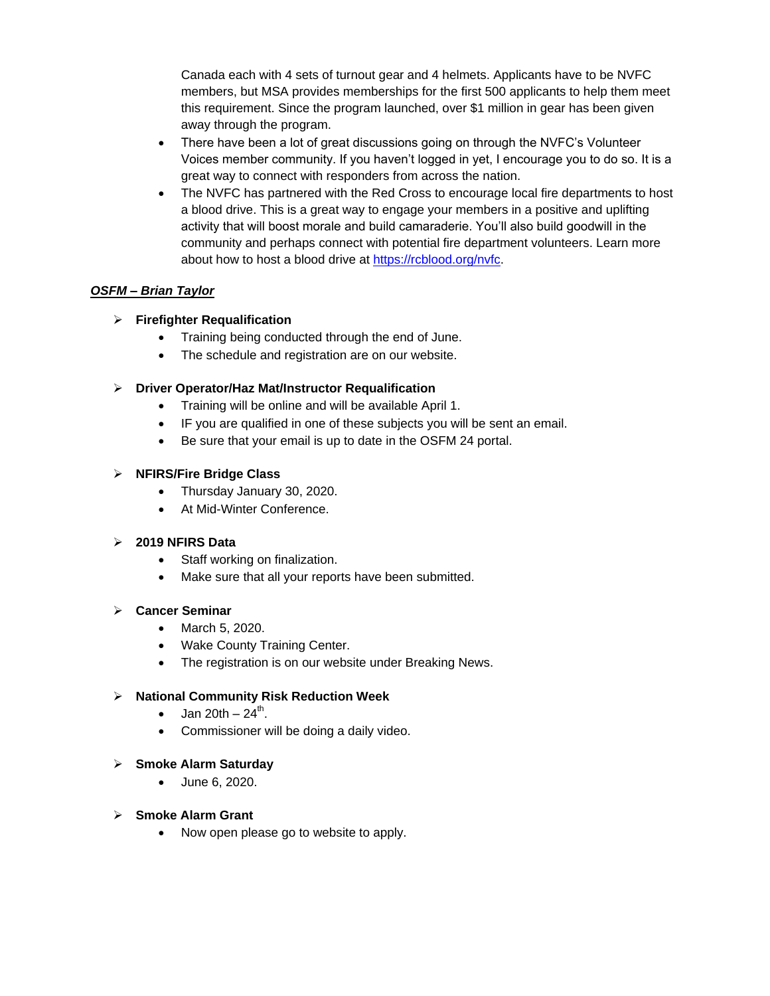Canada each with 4 sets of turnout gear and 4 helmets. Applicants have to be NVFC members, but MSA provides memberships for the first 500 applicants to help them meet this requirement. Since the program launched, over \$1 million in gear has been given away through the program.

- There have been a lot of great discussions going on through the NVFC's Volunteer Voices member community. If you haven't logged in yet, I encourage you to do so. It is a great way to connect with responders from across the nation.
- The NVFC has partnered with the Red Cross to encourage local fire departments to host a blood drive. This is a great way to engage your members in a positive and uplifting activity that will boost morale and build camaraderie. You'll also build goodwill in the community and perhaps connect with potential fire department volunteers. Learn more about how to host a blood drive at [https://rcblood.org/nvfc.](https://rcblood.org/nvfc)

### *OSFM – Brian Taylor*

### **Firefighter Requalification**

- Training being conducted through the end of June.
- The schedule and registration are on our website.

### **Driver Operator/Haz Mat/Instructor Requalification**

- Training will be online and will be available April 1.
- IF you are qualified in one of these subjects you will be sent an email.
- Be sure that your email is up to date in the OSFM 24 portal.

### **NFIRS/Fire Bridge Class**

- Thursday January 30, 2020.
- **At Mid-Winter Conference**

### **2019 NFIRS Data**

- Staff working on finalization.
- Make sure that all your reports have been submitted.

### **Cancer Seminar**

- March 5, 2020.
- Wake County Training Center.
- The registration is on our website under Breaking News.

### **National Community Risk Reduction Week**

- $\bullet$  Jan 20th 24<sup>th</sup>.
- Commissioner will be doing a daily video.

### **Smoke Alarm Saturday**

June 6, 2020.

### **Smoke Alarm Grant**

• Now open please go to website to apply.